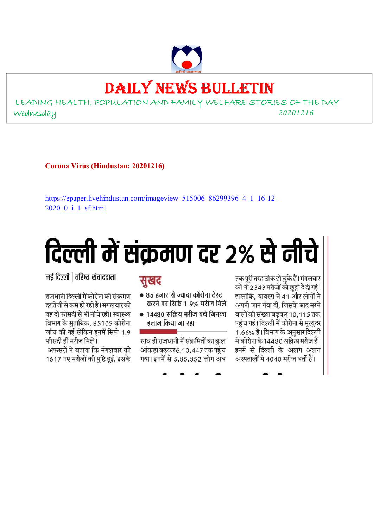# DAILY NEWS BULLETIN

LEADING HEALTH, POPULATION AND FAMILY WELFARE STORIES OF THE DAY Wednesday *<sup>20201216</sup>*

**Corona Virus (Hindustan: 20201216)** 

https://epaper.livehindustan.com/imageview\_515006\_86299396\_4\_1\_16-12-2020\_0\_i\_1\_sf.html

# दिल्ली में संक्रमण दर २% से नीचे

नई दिल्ली | वरिष्ट संवाददाता

राजधानी दिल्ली में कोरोना की संक्रमण दर तेजी से कम हो रही है। मंगलवार को यह दो फीसदी से भी नीचे रही। स्वास्थ्य विभाग के मुताबिक, 85105 कोरोना जांच की गई लेकिन इनमें सिर्फ 1.9 फीसदी ही मरीज मिले।

अफसरों ने बताया कि मंगलवार को 1617 नए मरीजों की पुष्टि हुई, इसके

## सुखद

- 85 हजार से ज्यादा कोरोना टेस्ट करने पर सिर्फ 1.9% मरीज मिले
- 14480 सक्रिय मरीज बचे जिनका इलाज किया जा रहा

साथ ही राजधानी में संक्रमितों का कुल आंकड़ा बढ़कर 6, 10, 447 तक पहुंच गया। इनमें से 5,85,852 लोग अब

तक पूरी तरह ठीक हो चुके हैं।मंगलवार को भी 2343 मरीजों को छुट्टी दे दी गई। हालांकि, वायरस ने 41 और लोगों ने अपनी जान गंवा दी. जिसके बाद मरने वालों की संख्या बढकर 10,115 तक पहुंच गई। दिल्ली में कोरोना से मृत्युदर 1.66% है। विभाग के अनुसार दिल्ली में कोरोना के 14480 सक्रिय मरीज हैं। इनमें से दिल्ली के अलग अलग अस्पतालों में 4040 मरीज भर्ती हैं।

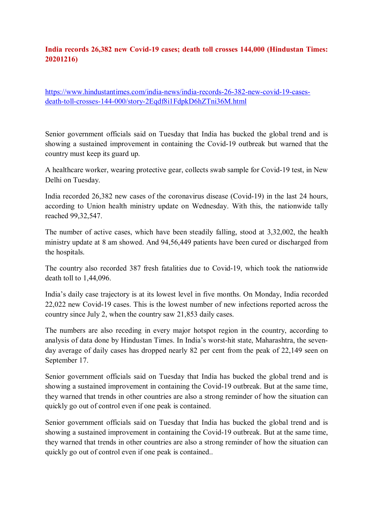#### **India records 26,382 new Covid-19 cases; death toll crosses 144,000 (Hindustan Times: 20201216)**

https://www.hindustantimes.com/india-news/india-records-26-382-new-covid-19-casesdeath-toll-crosses-144-000/story-2Eqdf8i1FdpkD6hZTni36M.html

Senior government officials said on Tuesday that India has bucked the global trend and is showing a sustained improvement in containing the Covid-19 outbreak but warned that the country must keep its guard up.

A healthcare worker, wearing protective gear, collects swab sample for Covid-19 test, in New Delhi on Tuesday.

India recorded 26,382 new cases of the coronavirus disease (Covid-19) in the last 24 hours, according to Union health ministry update on Wednesday. With this, the nationwide tally reached 99,32,547.

The number of active cases, which have been steadily falling, stood at 3,32,002, the health ministry update at 8 am showed. And 94,56,449 patients have been cured or discharged from the hospitals.

The country also recorded 387 fresh fatalities due to Covid-19, which took the nationwide death toll to 1,44,096.

India's daily case trajectory is at its lowest level in five months. On Monday, India recorded 22,022 new Covid-19 cases. This is the lowest number of new infections reported across the country since July 2, when the country saw 21,853 daily cases.

The numbers are also receding in every major hotspot region in the country, according to analysis of data done by Hindustan Times. In India's worst-hit state, Maharashtra, the sevenday average of daily cases has dropped nearly 82 per cent from the peak of 22,149 seen on September 17.

Senior government officials said on Tuesday that India has bucked the global trend and is showing a sustained improvement in containing the Covid-19 outbreak. But at the same time, they warned that trends in other countries are also a strong reminder of how the situation can quickly go out of control even if one peak is contained.

Senior government officials said on Tuesday that India has bucked the global trend and is showing a sustained improvement in containing the Covid-19 outbreak. But at the same time, they warned that trends in other countries are also a strong reminder of how the situation can quickly go out of control even if one peak is contained..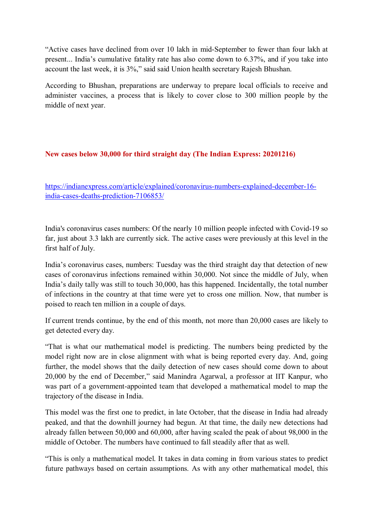"Active cases have declined from over 10 lakh in mid-September to fewer than four lakh at present... India's cumulative fatality rate has also come down to 6.37%, and if you take into account the last week, it is 3%," said said Union health secretary Rajesh Bhushan.

According to Bhushan, preparations are underway to prepare local officials to receive and administer vaccines, a process that is likely to cover close to 300 million people by the middle of next year.

#### **New cases below 30,000 for third straight day (The Indian Express: 20201216)**

https://indianexpress.com/article/explained/coronavirus-numbers-explained-december-16 india-cases-deaths-prediction-7106853/

India's coronavirus cases numbers: Of the nearly 10 million people infected with Covid-19 so far, just about 3.3 lakh are currently sick. The active cases were previously at this level in the first half of July.

India's coronavirus cases, numbers: Tuesday was the third straight day that detection of new cases of coronavirus infections remained within 30,000. Not since the middle of July, when India's daily tally was still to touch 30,000, has this happened. Incidentally, the total number of infections in the country at that time were yet to cross one million. Now, that number is poised to reach ten million in a couple of days.

If current trends continue, by the end of this month, not more than 20,000 cases are likely to get detected every day.

"That is what our mathematical model is predicting. The numbers being predicted by the model right now are in close alignment with what is being reported every day. And, going further, the model shows that the daily detection of new cases should come down to about 20,000 by the end of December," said Manindra Agarwal, a professor at IIT Kanpur, who was part of a government-appointed team that developed a mathematical model to map the trajectory of the disease in India.

This model was the first one to predict, in late October, that the disease in India had already peaked, and that the downhill journey had begun. At that time, the daily new detections had already fallen between 50,000 and 60,000, after having scaled the peak of about 98,000 in the middle of October. The numbers have continued to fall steadily after that as well.

"This is only a mathematical model. It takes in data coming in from various states to predict future pathways based on certain assumptions. As with any other mathematical model, this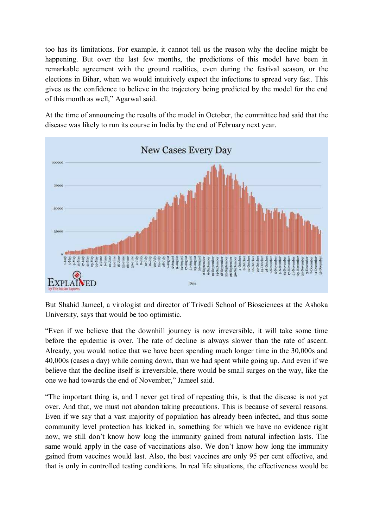too has its limitations. For example, it cannot tell us the reason why the decline might be happening. But over the last few months, the predictions of this model have been in remarkable agreement with the ground realities, even during the festival season, or the elections in Bihar, when we would intuitively expect the infections to spread very fast. This gives us the confidence to believe in the trajectory being predicted by the model for the end of this month as well," Agarwal said.

At the time of announcing the results of the model in October, the committee had said that the disease was likely to run its course in India by the end of February next year.



But Shahid Jameel, a virologist and director of Trivedi School of Biosciences at the Ashoka University, says that would be too optimistic.

"Even if we believe that the downhill journey is now irreversible, it will take some time before the epidemic is over. The rate of decline is always slower than the rate of ascent. Already, you would notice that we have been spending much longer time in the 30,000s and 40,000s (cases a day) while coming down, than we had spent while going up. And even if we believe that the decline itself is irreversible, there would be small surges on the way, like the one we had towards the end of November," Jameel said.

"The important thing is, and I never get tired of repeating this, is that the disease is not yet over. And that, we must not abandon taking precautions. This is because of several reasons. Even if we say that a vast majority of population has already been infected, and thus some community level protection has kicked in, something for which we have no evidence right now, we still don't know how long the immunity gained from natural infection lasts. The same would apply in the case of vaccinations also. We don't know how long the immunity gained from vaccines would last. Also, the best vaccines are only 95 per cent effective, and that is only in controlled testing conditions. In real life situations, the effectiveness would be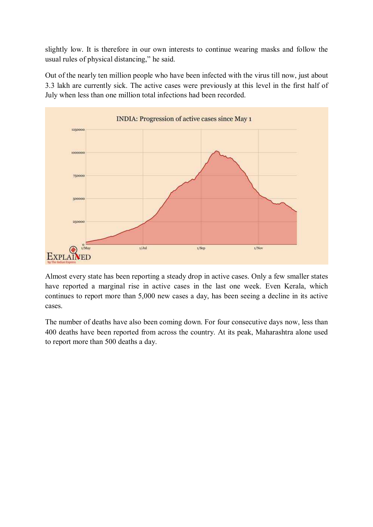slightly low. It is therefore in our own interests to continue wearing masks and follow the usual rules of physical distancing," he said.

Out of the nearly ten million people who have been infected with the virus till now, just about 3.3 lakh are currently sick. The active cases were previously at this level in the first half of July when less than one million total infections had been recorded.



Almost every state has been reporting a steady drop in active cases. Only a few smaller states have reported a marginal rise in active cases in the last one week. Even Kerala, which continues to report more than 5,000 new cases a day, has been seeing a decline in its active cases.

The number of deaths have also been coming down. For four consecutive days now, less than 400 deaths have been reported from across the country. At its peak, Maharashtra alone used to report more than 500 deaths a day.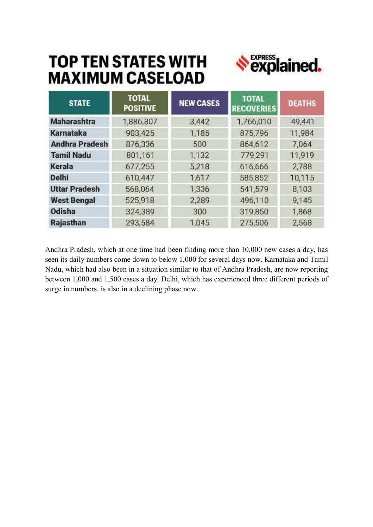## **TOP TEN STATES WITH MAXIMUM CASELOAD**



| <b>STATE</b>          | <b>TOTAL</b><br><b>POSITIVE</b> | <b>NEW CASES</b> | <b>TOTAL</b><br><b>RECOVERIES</b> | <b>DEATHS</b> |
|-----------------------|---------------------------------|------------------|-----------------------------------|---------------|
| <b>Maharashtra</b>    | 1,886,807                       | 3,442            | 1,766,010                         | 49,441        |
| Karnataka             | 903,425                         | 1,185            | 875,796                           | 11,984        |
| <b>Andhra Pradesh</b> | 876,336                         | 500              | 864,612                           | 7,064         |
| <b>Tamil Nadu</b>     | 801,161                         | 1,132            | 779,291                           | 11,919        |
| Kerala                | 677,255                         | 5,218            | 616,666                           | 2,788         |
| <b>Delhi</b>          | 610,447                         | 1,617            | 585,852                           | 10,115        |
| <b>Uttar Pradesh</b>  | 568,064                         | 1,336            | 541,579                           | 8,103         |
| <b>West Bengal</b>    | 525,918                         | 2,289            | 496,110                           | 9,145         |
| <b>Odisha</b>         | 324,389                         | 300              | 319,850                           | 1,868         |
| <b>Rajasthan</b>      | 293,584                         | 1.045            | 275,506                           | 2,568         |

Andhra Pradesh, which at one time had been finding more than 10,000 new cases a day, has seen its daily numbers come down to below 1,000 for several days now. Karnataka and Tamil Nadu, which had also been in a situation similar to that of Andhra Pradesh, are now reporting between 1,000 and 1,500 cases a day. Delhi, which has experienced three different periods of surge in numbers, is also in a declining phase now.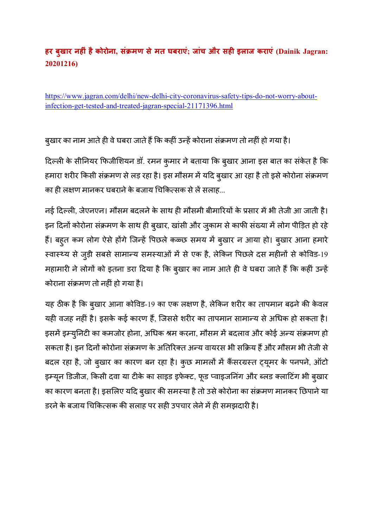### **हर बुखार नहं हैकोरोना, संमण सेमत घबराएं; जांच और सह इलाज कराएं (Dainik Jagran: 20201216)**

https://www.jagran.com/delhi/new-delhi-city-coronavirus-safety-tips-do-not-worry-aboutinfection-get-tested-and-treated-jagran-special-21171396.html

बुखार का नाम आते ही वे घबरा जाते हैं कि कहीं उन्हें कोराना संक्रमण तो नहीं हो गया है।

दिल्ली के सीनियर फिजीशियन डॉ. रमन कुमार ने बताया कि बुखार आना इस बात का संकेत है कि हमारा शरीर किसी संक्रमण से लड़ रहा है। इस मौसम में यदि बुखार आ रहा है तो इसे कोरोना संक्रमण का ही लक्षण मानकर घबराने के बजाय चिकित्सक से लें सलाह...

नई दिल्ली, जेएनएन। मौसम बदलने के साथ ही मौसमी बीमारियों के प्रसार में भी तेजी आ जाती है। इन दिनों कोरोना संक्रमण के साथ ही बुखार, खांसी और जुकाम से काफी संख्या में लोग पीड़ित हो रहे हैं। बहुत कम लोग ऐसे होंगे जिन्हें पिछले कळ्छ समय में बुखार न आया हो। बुखार आना हमारे स्वास्थ्य से जुड़ी सबसे सामान्य समस्याओं में से एक है, लेकिन पिछले दस महीनों से कोविड-19 महामारी ने लोगों को इतना डरा दिया है कि बुखार का नाम आते ही वे घबरा जाते हैं कि कहीं उन्हें कोराना संमण तो नह
ंहो गया है।

यह ठीक है कि बुखार आना कोविड-19 का एक लक्षण है, लेकिन शरीर का तापमान बढ़ने की केवल यही वजह नहीं है। इसके कई कारण हैं, जिससे शरीर का तापमान सामान्य से अधिक हो सकता है। इसमें इम्युनिटी का कमजोर होना, अधिक श्रम करना, मौसम में बदलाव और कोई अन्य संक्रमण हो सकता है। इन दिनों कोरोना संक्रमण के अतिरिक्त अन्य वायरस भी सक्रिय हैं और मौसम भी तेजी से बदल रहा है, जो बुखार का कारण बन रहा है। कुछ मामलों में कैंसरग्रस्त ट्यूमर के पनपने, ऑटो इम्यून डिजीज, किसी दवा या टीके का साइड इफेक्ट, फूड प्वाइजनिंग और ब्लड क्लाटिंग भी बुखार का कारण बनता है। इसलिए यदि बुखार की समस्या है तो उसे कोरोना का संक्रमण मानकर छिपाने या डरने के बजाय चिकित्सक की सलाह पर सही उपचार लेने में ही समझदारी है।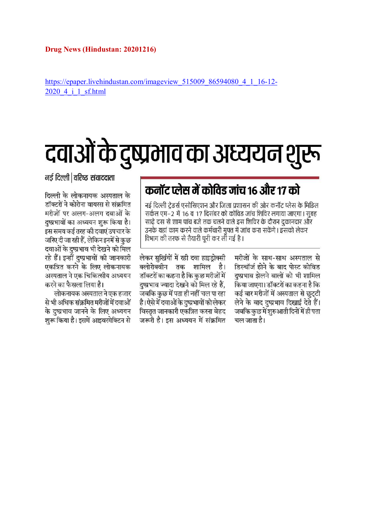https://epaper.livehindustan.com/imageview\_515009\_86594080\_4\_1\_16-12-2020 4 i 1 sf.html

# दवाओं के दुष्प्रभाव का अध्ययन शुरू

नई दिल्ली | वरिष्ट संवाददाता

#### दिल्ली के लोकनायक अस्पताल के डॉक्टरों ने कोरोना वायरस से संक्रमित मरीजों पर अलग-अलग दवाओं के दुष्प्रभावों का अध्ययन शुरू किया है। इस समय कई तरह की दवाएं उपचार के जरिए दी जा रही हैं, लेकिन इनमें से कुछ दवाओं के दुष्प्रभाव भी देखने को मिल रहे हैं। इन्हीं दुष्प्रभावों की जानकारी एकत्रित करने के लिए लोकनायक अस्पताल ने एक चिकित्सीय अध्ययन करने का फैसला लिया है।

लोकनायक अस्पताल ने एक हजार से भी अधिक संक्रमित मरीजों में दवाओं के दुष्प्रभाव जानने के लिए अध्ययन शुरू किया है। इसमें आइवरमेक्टिन से

## कनॉट प्लेस में कोविड जांच १६ और १७ को

नई दिल्ली ट्रेडर्स एसोसिएशन और जिला प्रशासन की ओर कनॉट प्लेस के मिडिल सर्कल एम–2 में 16 व 17 दिसंबर को कोविड जांच शिविर लगाया जाएगा। सूबह साढ़े दस से शाम पांच बजे तक चलने वाले इस शिविर के दौरान दुकानदार और उनके यहां काम करने वाले कर्मचारी मुफ्त में जांच करा सकेंगे। इसको लेकर विभाग की तरफ से तैयारी पूरी कर ली गई है।

लेकर सुर्खियों में रही दवा हाइडोक्सी क्लोरोक्वीन तक शामिल है। डॉक्टरों का कहना है कि कुछ मरीजों में दुष्प्रभाव ज्यादा देखने को मिल रहे हैं, जबकि कुछ में पता ही नहीं चल पा रहा है। ऐसे में दवाओं के दुष्प्रभावों को लेकर विस्तृत जानकारी एकत्रित करना बेहद जरूरी है। इस अध्ययन में संक्रमित मरीजों के साथ-साथ अस्पताल से डिस्चॉर्ज होने के बाद पोस्ट कोविड दुष्प्रभाव झेलने वालों को भी शामिल किया जाएगा। डॉक्टरों का कहना है कि कई बार मरीजों में अस्पताल से छुट्टी लेने के बाद दुष्प्रभाव दिखाई देते हैं। जबकि कुछ में शुरुआती दिनों में ही पता चल जाता है।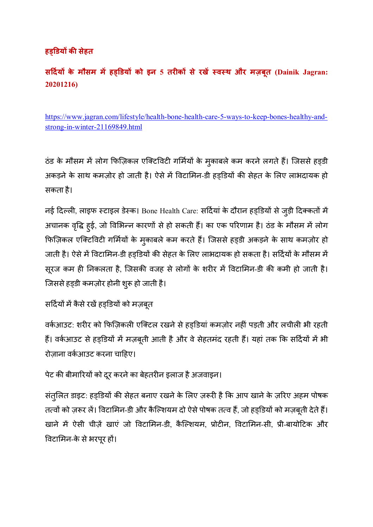### **हडय क सेहत**

**स द"य के मौसम म\$ हडय को इन 5 तरक से रख\$ %व%थ और मज़बूत (Dainik Jagran: 20201216)** 

https://www.jagran.com/lifestyle/health-bone-health-care-5-ways-to-keep-bones-healthy-andstrong-in-winter-21169849.html

ठंड के मौसम में लोग फिज़िकल एक्टिविटी गर्मियों के मुकाबले कम करने लगते हैं। जिससे हड़डी अकड़ने के साथ कमज़ोर हो जाती है। ऐसे में विटामिन-डी हडडियों की सेहत के लिए लाभदायक हो सकता है।

नई दिल्ली, लाइफ स्टाइल डेस्क। Bone Health Care: सर्दियां के दौरान हड्डियों से जुड़ी दिक्कतों में अचानक वृद्धि हुई, जो विभिन्न कारणों से हो सकती हैं। का एक परिणाम है। ठंड के मौसम में लोग फिज़िकल एक्टिविटी गर्मियों के मुकाबले कम करते हैं। जिससे हड़डी अकड़ने के साथ कमज़ोर हो जाती है। ऐसे में विटामिन-डी हड्डियों की सेहत के लिए लाभदायक हो सकता है। सर्दियों के मौसम में सूरज कम ही निकलता है, जिसकी वजह से लोगों के शरीर में विटामिन-डी की कमी हो जाती है। जिससे हड़डी कमज़ोर होनी शुरू हो जाती है।

```
सर्दियों में कैसे रखें हड़डियों को मज़बूत
```
वर्कआउट: शरीर को फिज़िकली एक्टिल रखने से हड़डियां कमज़ोर नहीं पड़ती और लचीली भी रहती हैं। वर्कआउट से हड़डियों में मज़बूती आती है और वे सेहतमंद रहती हैं। यहां तक कि सर्दियों में भी रोजाना वर्कआउट करना चाहिए।

पेट की बीमारियों को दूर करने का बेहतरीन इलाज है अजवाइन।

संतुलित डाइट: हड्डियों की सेहत बनाए रखने के लिए ज़रूरी है कि आप खाने के ज़रिए अहम पोषक तत्वों को ज़रूर लें। विटामिन-डी और कैल्शियम दो ऐसे पोषक तत्व हैं, जो हड़डियों को मज़बूती देते हैं। खाने में ऐसी चीज़ें खाएं जो विटामिन-डी, कैल्शियम, प्रोटीन, विटामिन-सी, प्री-बायोटिक और विटामिन-के से भरपूर हों।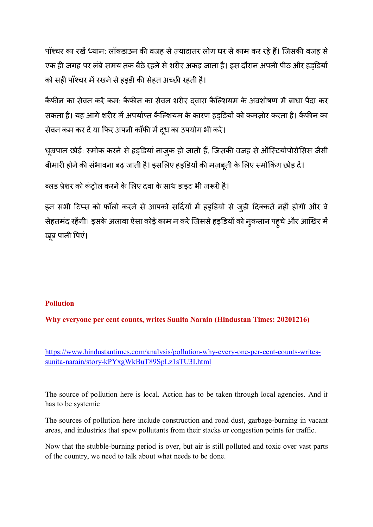पॉश्चर का रखें ध्यान: लॉकडाउन की वजह से ज़्यादातर लोग घर से काम कर रहे हैं। जिसकी वजह से एक ही जगह पर लंबे समय तक बैठे रहने से शरीर अकड़ जाता है। इस दौरान अपनी पीठ और हड्डियों को सही पॉश्चर में रखने से हड़डी की सेहत अच्छी रहती है।

कैफीन का सेवन करें कम: कैफीन का सेवन शरीर दवारा कैल्शियम के अवशोषण में बाधा पैदा कर सकता है। यह आगे शरीर में अपर्याप्त कैल्शियम के कारण हड़डियों को कमज़ोर करता है। कैफीन का सेवन कम कर दें या फिर अपनी कॉफी में दूध का उपयोग भी करें।

धूम्रपान छोड़ें: स्मोक करने से हड़डियां नाज़ुक हो जाती हैं, जिसकी वजह से ऑस्टियोपोरोसिस जैसी बीमारी होने की संभावना बढ़ जाती है। इसलिए हड्डियों की मज़बूती के लिए स्मोकिंग छोड़ दें।

ब्लड प्रेशर को कंटोल करने के लिए दवा के साथ डाइट भी जरूरी है।

इन सभी टिप्स को फॉलो करने से आपको सर्दियों में हड़डियों से जुड़ी दिक्कतें नहीं होगी और वे सेहतमंद रहेंगी। इसके अलावा ऐसा कोई काम न करें जिससे हड्डियों को नुकसान पहूचे और आखिर में खूब पानी पिएं।

#### **Pollution**

**Why everyone per cent counts, writes Sunita Narain (Hindustan Times: 20201216)** 

https://www.hindustantimes.com/analysis/pollution-why-every-one-per-cent-counts-writessunita-narain/story-kPYxgWkBuT89SpLz1sTU3I.html

The source of pollution here is local. Action has to be taken through local agencies. And it has to be systemic

The sources of pollution here include construction and road dust, garbage-burning in vacant areas, and industries that spew pollutants from their stacks or congestion points for traffic.

Now that the stubble-burning period is over, but air is still polluted and toxic over vast parts of the country, we need to talk about what needs to be done.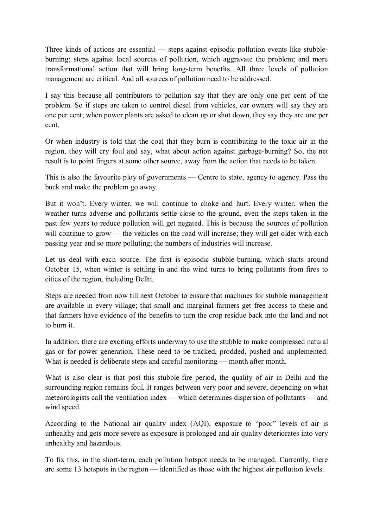Three kinds of actions are essential — steps against episodic pollution events like stubbleburning; steps against local sources of pollution, which aggravate the problem; and more transformational action that will bring long-term benefits. All three levels of pollution management are critical. And all sources of pollution need to be addressed.

I say this because all contributors to pollution say that they are only one per cent of the problem. So if steps are taken to control diesel from vehicles, car owners will say they are one per cent; when power plants are asked to clean up or shut down, they say they are one per cent.

Or when industry is told that the coal that they burn is contributing to the toxic air in the region, they will cry foul and say, what about action against garbage-burning? So, the net result is to point fingers at some other source, away from the action that needs to be taken.

This is also the favourite ploy of governments — Centre to state, agency to agency. Pass the buck and make the problem go away.

But it won't. Every winter, we will continue to choke and hurt. Every winter, when the weather turns adverse and pollutants settle close to the ground, even the steps taken in the past few years to reduce pollution will get negated. This is because the sources of pollution will continue to grow — the vehicles on the road will increase; they will get older with each passing year and so more polluting; the numbers of industries will increase.

Let us deal with each source. The first is episodic stubble-burning, which starts around October 15, when winter is settling in and the wind turns to bring pollutants from fires to cities of the region, including Delhi.

Steps are needed from now till next October to ensure that machines for stubble management are available in every village; that small and marginal farmers get free access to these and that farmers have evidence of the benefits to turn the crop residue back into the land and not to burn it.

In addition, there are exciting efforts underway to use the stubble to make compressed natural gas or for power generation. These need to be tracked, prodded, pushed and implemented. What is needed is deliberate steps and careful monitoring — month after month.

What is also clear is that post this stubble-fire period, the quality of air in Delhi and the surrounding region remains foul. It ranges between very poor and severe, depending on what meteorologists call the ventilation index — which determines dispersion of pollutants — and wind speed.

According to the National air quality index (AQI), exposure to "poor" levels of air is unhealthy and gets more severe as exposure is prolonged and air quality deteriorates into very unhealthy and hazardous.

To fix this, in the short-term, each pollution hotspot needs to be managed. Currently, there are some 13 hotspots in the region — identified as those with the highest air pollution levels.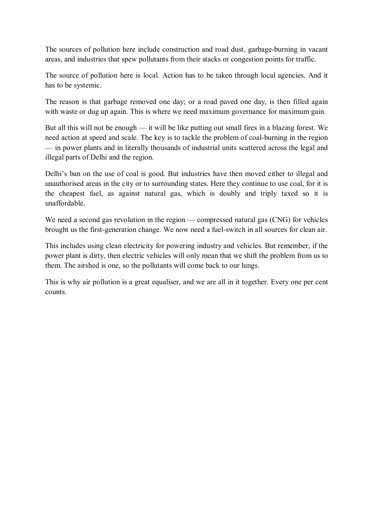The sources of pollution here include construction and road dust, garbage-burning in vacant areas, and industries that spew pollutants from their stacks or congestion points for traffic.

The source of pollution here is local. Action has to be taken through local agencies. And it has to be systemic.

The reason is that garbage removed one day; or a road paved one day, is then filled again with waste or dug up again. This is where we need maximum governance for maximum gain.

But all this will not be enough — it will be like putting out small fires in a blazing forest. We need action at speed and scale. The key is to tackle the problem of coal-burning in the region — in power plants and in literally thousands of industrial units scattered across the legal and illegal parts of Delhi and the region.

Delhi's ban on the use of coal is good. But industries have then moved either to illegal and unauthorised areas in the city or to surrounding states. Here they continue to use coal, for it is the cheapest fuel, as against natural gas, which is doubly and triply taxed so it is unaffordable.

We need a second gas revolution in the region — compressed natural gas (CNG) for vehicles brought us the first-generation change. We now need a fuel-switch in all sources for clean air.

This includes using clean electricity for powering industry and vehicles. But remember, if the power plant is dirty, then electric vehicles will only mean that we shift the problem from us to them. The airshed is one, so the pollutants will come back to our lungs.

This is why air pollution is a great equaliser, and we are all in it together. Every one per cent counts.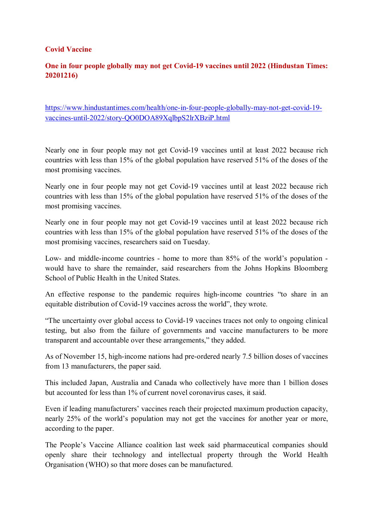#### **Covid Vaccine**

#### **One in four people globally may not get Covid-19 vaccines until 2022 (Hindustan Times: 20201216)**

https://www.hindustantimes.com/health/one-in-four-people-globally-may-not-get-covid-19 vaccines-until-2022/story-QO0DOA89XqlbpS2lrXBziP.html

Nearly one in four people may not get Covid-19 vaccines until at least 2022 because rich countries with less than 15% of the global population have reserved 51% of the doses of the most promising vaccines.

Nearly one in four people may not get Covid-19 vaccines until at least 2022 because rich countries with less than 15% of the global population have reserved 51% of the doses of the most promising vaccines.

Nearly one in four people may not get Covid-19 vaccines until at least 2022 because rich countries with less than 15% of the global population have reserved 51% of the doses of the most promising vaccines, researchers said on Tuesday.

Low- and middle-income countries - home to more than 85% of the world's population would have to share the remainder, said researchers from the Johns Hopkins Bloomberg School of Public Health in the United States.

An effective response to the pandemic requires high-income countries "to share in an equitable distribution of Covid-19 vaccines across the world", they wrote.

"The uncertainty over global access to Covid-19 vaccines traces not only to ongoing clinical testing, but also from the failure of governments and vaccine manufacturers to be more transparent and accountable over these arrangements," they added.

As of November 15, high-income nations had pre-ordered nearly 7.5 billion doses of vaccines from 13 manufacturers, the paper said.

This included Japan, Australia and Canada who collectively have more than 1 billion doses but accounted for less than 1% of current novel coronavirus cases, it said.

Even if leading manufacturers' vaccines reach their projected maximum production capacity, nearly 25% of the world's population may not get the vaccines for another year or more, according to the paper.

The People's Vaccine Alliance coalition last week said pharmaceutical companies should openly share their technology and intellectual property through the World Health Organisation (WHO) so that more doses can be manufactured.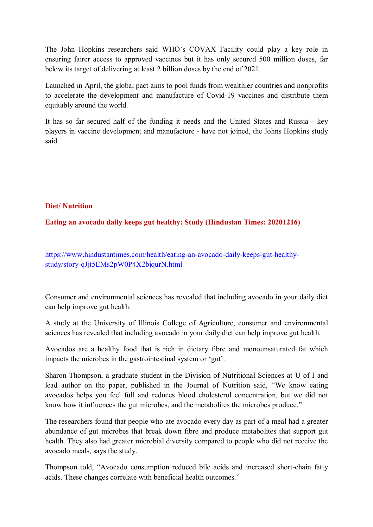The John Hopkins researchers said WHO's COVAX Facility could play a key role in ensuring fairer access to approved vaccines but it has only secured 500 million doses, far below its target of delivering at least 2 billion doses by the end of 2021.

Launched in April, the global pact aims to pool funds from wealthier countries and nonprofits to accelerate the development and manufacture of Covid-19 vaccines and distribute them equitably around the world.

It has so far secured half of the funding it needs and the United States and Russia - key players in vaccine development and manufacture - have not joined, the Johns Hopkins study said.

#### **Diet/ Nutrition**

#### **Eating an avocado daily keeps gut healthy: Study (Hindustan Times: 20201216)**

https://www.hindustantimes.com/health/eating-an-avocado-daily-keeps-gut-healthystudy/story-qJjt5EMs2pW0P4X2bjqurN.html

Consumer and environmental sciences has revealed that including avocado in your daily diet can help improve gut health.

A study at the University of Illinois College of Agriculture, consumer and environmental sciences has revealed that including avocado in your daily diet can help improve gut health.

Avocados are a healthy food that is rich in dietary fibre and monounsaturated fat which impacts the microbes in the gastrointestinal system or 'gut'.

Sharon Thompson, a graduate student in the Division of Nutritional Sciences at U of I and lead author on the paper, published in the Journal of Nutrition said, "We know eating avocados helps you feel full and reduces blood cholesterol concentration, but we did not know how it influences the gut microbes, and the metabolites the microbes produce."

The researchers found that people who ate avocado every day as part of a meal had a greater abundance of gut microbes that break down fibre and produce metabolites that support gut health. They also had greater microbial diversity compared to people who did not receive the avocado meals, says the study.

Thompson told, "Avocado consumption reduced bile acids and increased short-chain fatty acids. These changes correlate with beneficial health outcomes."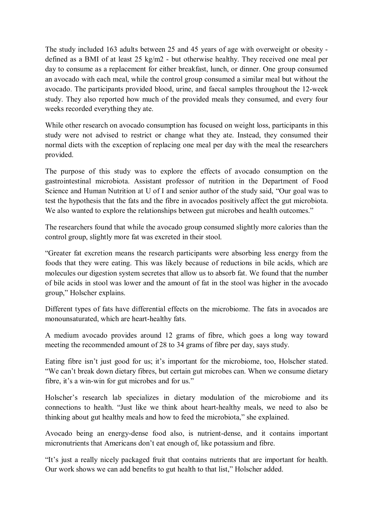The study included 163 adults between 25 and 45 years of age with overweight or obesity defined as a BMI of at least 25 kg/m2 - but otherwise healthy. They received one meal per day to consume as a replacement for either breakfast, lunch, or dinner. One group consumed an avocado with each meal, while the control group consumed a similar meal but without the avocado. The participants provided blood, urine, and faecal samples throughout the 12-week study. They also reported how much of the provided meals they consumed, and every four weeks recorded everything they ate.

While other research on avocado consumption has focused on weight loss, participants in this study were not advised to restrict or change what they ate. Instead, they consumed their normal diets with the exception of replacing one meal per day with the meal the researchers provided.

The purpose of this study was to explore the effects of avocado consumption on the gastrointestinal microbiota. Assistant professor of nutrition in the Department of Food Science and Human Nutrition at U of I and senior author of the study said, "Our goal was to test the hypothesis that the fats and the fibre in avocados positively affect the gut microbiota. We also wanted to explore the relationships between gut microbes and health outcomes."

The researchers found that while the avocado group consumed slightly more calories than the control group, slightly more fat was excreted in their stool.

"Greater fat excretion means the research participants were absorbing less energy from the foods that they were eating. This was likely because of reductions in bile acids, which are molecules our digestion system secretes that allow us to absorb fat. We found that the number of bile acids in stool was lower and the amount of fat in the stool was higher in the avocado group," Holscher explains.

Different types of fats have differential effects on the microbiome. The fats in avocados are monounsaturated, which are heart-healthy fats.

A medium avocado provides around 12 grams of fibre, which goes a long way toward meeting the recommended amount of 28 to 34 grams of fibre per day, says study.

Eating fibre isn't just good for us; it's important for the microbiome, too, Holscher stated. "We can't break down dietary fibres, but certain gut microbes can. When we consume dietary fibre, it's a win-win for gut microbes and for us."

Holscher's research lab specializes in dietary modulation of the microbiome and its connections to health. "Just like we think about heart-healthy meals, we need to also be thinking about gut healthy meals and how to feed the microbiota," she explained.

Avocado being an energy-dense food also, is nutrient-dense, and it contains important micronutrients that Americans don't eat enough of, like potassium and fibre.

"It's just a really nicely packaged fruit that contains nutrients that are important for health. Our work shows we can add benefits to gut health to that list," Holscher added.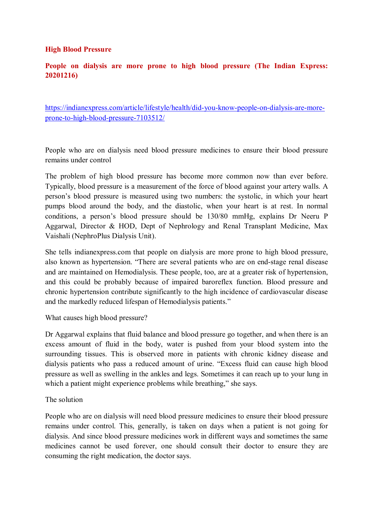#### **High Blood Pressure**

#### **People on dialysis are more prone to high blood pressure (The Indian Express: 20201216)**

https://indianexpress.com/article/lifestyle/health/did-you-know-people-on-dialysis-are-moreprone-to-high-blood-pressure-7103512/

People who are on dialysis need blood pressure medicines to ensure their blood pressure remains under control

The problem of high blood pressure has become more common now than ever before. Typically, blood pressure is a measurement of the force of blood against your artery walls. A person's blood pressure is measured using two numbers: the systolic, in which your heart pumps blood around the body, and the diastolic, when your heart is at rest. In normal conditions, a person's blood pressure should be 130/80 mmHg, explains Dr Neeru P Aggarwal, Director & HOD, Dept of Nephrology and Renal Transplant Medicine, Max Vaishali (NephroPlus Dialysis Unit).

She tells indianexpress.com that people on dialysis are more prone to high blood pressure, also known as hypertension. "There are several patients who are on end-stage renal disease and are maintained on Hemodialysis. These people, too, are at a greater risk of hypertension, and this could be probably because of impaired baroreflex function. Blood pressure and chronic hypertension contribute significantly to the high incidence of cardiovascular disease and the markedly reduced lifespan of Hemodialysis patients."

What causes high blood pressure?

Dr Aggarwal explains that fluid balance and blood pressure go together, and when there is an excess amount of fluid in the body, water is pushed from your blood system into the surrounding tissues. This is observed more in patients with chronic kidney disease and dialysis patients who pass a reduced amount of urine. "Excess fluid can cause high blood pressure as well as swelling in the ankles and legs. Sometimes it can reach up to your lung in which a patient might experience problems while breathing," she says.

#### The solution

People who are on dialysis will need blood pressure medicines to ensure their blood pressure remains under control. This, generally, is taken on days when a patient is not going for dialysis. And since blood pressure medicines work in different ways and sometimes the same medicines cannot be used forever, one should consult their doctor to ensure they are consuming the right medication, the doctor says.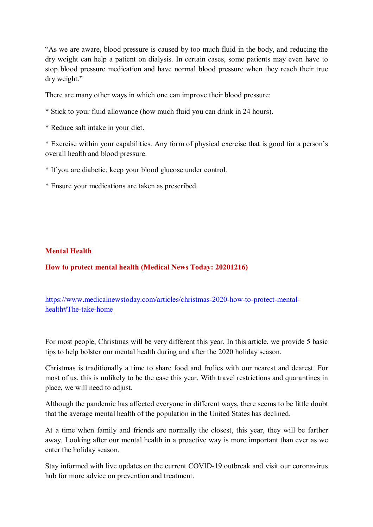"As we are aware, blood pressure is caused by too much fluid in the body, and reducing the dry weight can help a patient on dialysis. In certain cases, some patients may even have to stop blood pressure medication and have normal blood pressure when they reach their true dry weight."

There are many other ways in which one can improve their blood pressure:

- \* Stick to your fluid allowance (how much fluid you can drink in 24 hours).
- \* Reduce salt intake in your diet.

\* Exercise within your capabilities. Any form of physical exercise that is good for a person's overall health and blood pressure.

- \* If you are diabetic, keep your blood glucose under control.
- \* Ensure your medications are taken as prescribed.

#### **Mental Health**

**How to protect mental health (Medical News Today: 20201216)** 

https://www.medicalnewstoday.com/articles/christmas-2020-how-to-protect-mentalhealth#The-take-home

For most people, Christmas will be very different this year. In this article, we provide 5 basic tips to help bolster our mental health during and after the 2020 holiday season.

Christmas is traditionally a time to share food and frolics with our nearest and dearest. For most of us, this is unlikely to be the case this year. With travel restrictions and quarantines in place, we will need to adjust.

Although the pandemic has affected everyone in different ways, there seems to be little doubt that the average mental health of the population in the United States has declined.

At a time when family and friends are normally the closest, this year, they will be farther away. Looking after our mental health in a proactive way is more important than ever as we enter the holiday season.

Stay informed with live updates on the current COVID-19 outbreak and visit our coronavirus hub for more advice on prevention and treatment.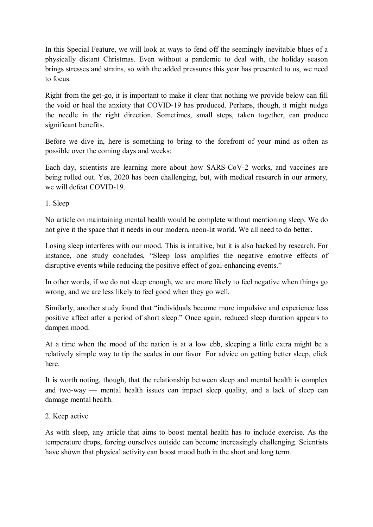In this Special Feature, we will look at ways to fend off the seemingly inevitable blues of a physically distant Christmas. Even without a pandemic to deal with, the holiday season brings stresses and strains, so with the added pressures this year has presented to us, we need to focus.

Right from the get-go, it is important to make it clear that nothing we provide below can fill the void or heal the anxiety that COVID-19 has produced. Perhaps, though, it might nudge the needle in the right direction. Sometimes, small steps, taken together, can produce significant benefits.

Before we dive in, here is something to bring to the forefront of your mind as often as possible over the coming days and weeks:

Each day, scientists are learning more about how SARS-CoV-2 works, and vaccines are being rolled out. Yes, 2020 has been challenging, but, with medical research in our armory, we will defeat COVID-19.

1. Sleep

No article on maintaining mental health would be complete without mentioning sleep. We do not give it the space that it needs in our modern, neon-lit world. We all need to do better.

Losing sleep interferes with our mood. This is intuitive, but it is also backed by research. For instance, one study concludes, "Sleep loss amplifies the negative emotive effects of disruptive events while reducing the positive effect of goal-enhancing events."

In other words, if we do not sleep enough, we are more likely to feel negative when things go wrong, and we are less likely to feel good when they go well.

Similarly, another study found that "individuals become more impulsive and experience less positive affect after a period of short sleep." Once again, reduced sleep duration appears to dampen mood.

At a time when the mood of the nation is at a low ebb, sleeping a little extra might be a relatively simple way to tip the scales in our favor. For advice on getting better sleep, click here.

It is worth noting, though, that the relationship between sleep and mental health is complex and two-way — mental health issues can impact sleep quality, and a lack of sleep can damage mental health.

#### 2. Keep active

As with sleep, any article that aims to boost mental health has to include exercise. As the temperature drops, forcing ourselves outside can become increasingly challenging. Scientists have shown that physical activity can boost mood both in the short and long term.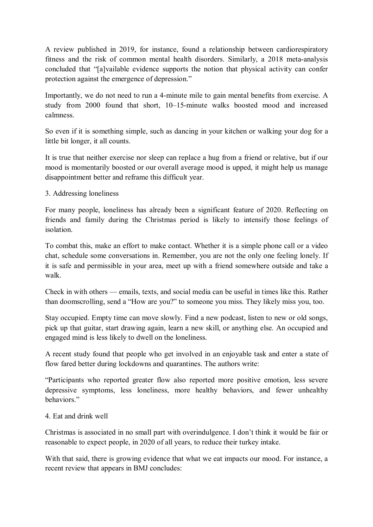A review published in 2019, for instance, found a relationship between cardiorespiratory fitness and the risk of common mental health disorders. Similarly, a 2018 meta-analysis concluded that "[a]vailable evidence supports the notion that physical activity can confer protection against the emergence of depression."

Importantly, we do not need to run a 4-minute mile to gain mental benefits from exercise. A study from 2000 found that short, 10–15-minute walks boosted mood and increased calmness.

So even if it is something simple, such as dancing in your kitchen or walking your dog for a little bit longer, it all counts.

It is true that neither exercise nor sleep can replace a hug from a friend or relative, but if our mood is momentarily boosted or our overall average mood is upped, it might help us manage disappointment better and reframe this difficult year.

#### 3. Addressing loneliness

For many people, loneliness has already been a significant feature of 2020. Reflecting on friends and family during the Christmas period is likely to intensify those feelings of isolation.

To combat this, make an effort to make contact. Whether it is a simple phone call or a video chat, schedule some conversations in. Remember, you are not the only one feeling lonely. If it is safe and permissible in your area, meet up with a friend somewhere outside and take a walk.

Check in with others — emails, texts, and social media can be useful in times like this. Rather than doomscrolling, send a "How are you?" to someone you miss. They likely miss you, too.

Stay occupied. Empty time can move slowly. Find a new podcast, listen to new or old songs, pick up that guitar, start drawing again, learn a new skill, or anything else. An occupied and engaged mind is less likely to dwell on the loneliness.

A recent study found that people who get involved in an enjoyable task and enter a state of flow fared better during lockdowns and quarantines. The authors write:

"Participants who reported greater flow also reported more positive emotion, less severe depressive symptoms, less loneliness, more healthy behaviors, and fewer unhealthy behaviors."

#### 4. Eat and drink well

Christmas is associated in no small part with overindulgence. I don't think it would be fair or reasonable to expect people, in 2020 of all years, to reduce their turkey intake.

With that said, there is growing evidence that what we eat impacts our mood. For instance, a recent review that appears in BMJ concludes: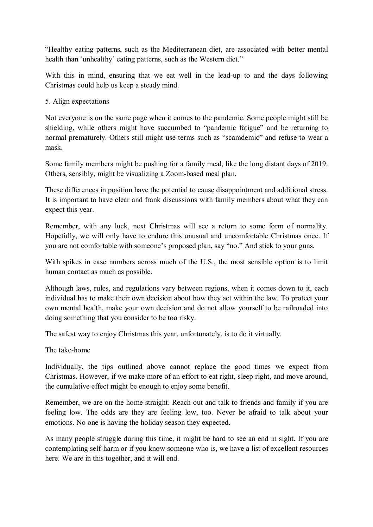"Healthy eating patterns, such as the Mediterranean diet, are associated with better mental health than 'unhealthy' eating patterns, such as the Western diet."

With this in mind, ensuring that we eat well in the lead-up to and the days following Christmas could help us keep a steady mind.

#### 5. Align expectations

Not everyone is on the same page when it comes to the pandemic. Some people might still be shielding, while others might have succumbed to "pandemic fatigue" and be returning to normal prematurely. Others still might use terms such as "scamdemic" and refuse to wear a mask.

Some family members might be pushing for a family meal, like the long distant days of 2019. Others, sensibly, might be visualizing a Zoom-based meal plan.

These differences in position have the potential to cause disappointment and additional stress. It is important to have clear and frank discussions with family members about what they can expect this year.

Remember, with any luck, next Christmas will see a return to some form of normality. Hopefully, we will only have to endure this unusual and uncomfortable Christmas once. If you are not comfortable with someone's proposed plan, say "no." And stick to your guns.

With spikes in case numbers across much of the U.S., the most sensible option is to limit human contact as much as possible.

Although laws, rules, and regulations vary between regions, when it comes down to it, each individual has to make their own decision about how they act within the law. To protect your own mental health, make your own decision and do not allow yourself to be railroaded into doing something that you consider to be too risky.

The safest way to enjoy Christmas this year, unfortunately, is to do it virtually.

The take-home

Individually, the tips outlined above cannot replace the good times we expect from Christmas. However, if we make more of an effort to eat right, sleep right, and move around, the cumulative effect might be enough to enjoy some benefit.

Remember, we are on the home straight. Reach out and talk to friends and family if you are feeling low. The odds are they are feeling low, too. Never be afraid to talk about your emotions. No one is having the holiday season they expected.

As many people struggle during this time, it might be hard to see an end in sight. If you are contemplating self-harm or if you know someone who is, we have a list of excellent resources here. We are in this together, and it will end.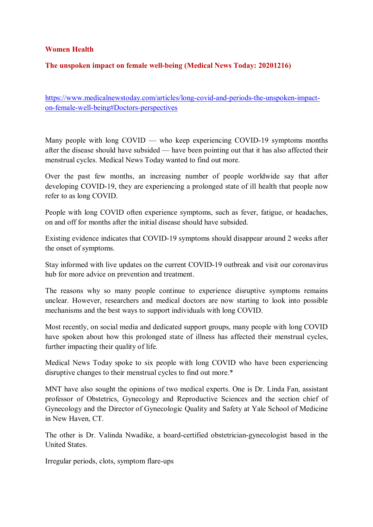#### **Women Health**

#### **The unspoken impact on female well-being (Medical News Today: 20201216)**

https://www.medicalnewstoday.com/articles/long-covid-and-periods-the-unspoken-impacton-female-well-being#Doctors-perspectives

Many people with long COVID — who keep experiencing COVID-19 symptoms months after the disease should have subsided — have been pointing out that it has also affected their menstrual cycles. Medical News Today wanted to find out more.

Over the past few months, an increasing number of people worldwide say that after developing COVID-19, they are experiencing a prolonged state of ill health that people now refer to as long COVID.

People with long COVID often experience symptoms, such as fever, fatigue, or headaches, on and off for months after the initial disease should have subsided.

Existing evidence indicates that COVID-19 symptoms should disappear around 2 weeks after the onset of symptoms.

Stay informed with live updates on the current COVID-19 outbreak and visit our coronavirus hub for more advice on prevention and treatment.

The reasons why so many people continue to experience disruptive symptoms remains unclear. However, researchers and medical doctors are now starting to look into possible mechanisms and the best ways to support individuals with long COVID.

Most recently, on social media and dedicated support groups, many people with long COVID have spoken about how this prolonged state of illness has affected their menstrual cycles, further impacting their quality of life.

Medical News Today spoke to six people with long COVID who have been experiencing disruptive changes to their menstrual cycles to find out more.\*

MNT have also sought the opinions of two medical experts. One is Dr. Linda Fan, assistant professor of Obstetrics, Gynecology and Reproductive Sciences and the section chief of Gynecology and the Director of Gynecologic Quality and Safety at Yale School of Medicine in New Haven, CT.

The other is Dr. Valinda Nwadike, a board-certified obstetrician-gynecologist based in the United States.

Irregular periods, clots, symptom flare-ups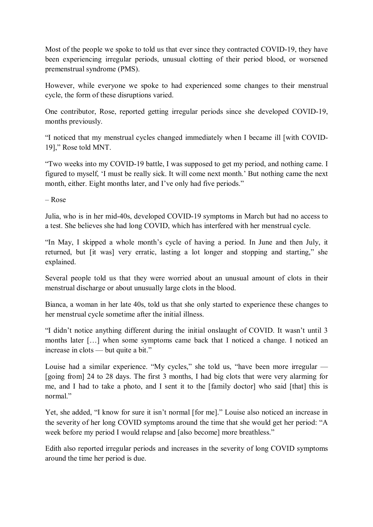Most of the people we spoke to told us that ever since they contracted COVID-19, they have been experiencing irregular periods, unusual clotting of their period blood, or worsened premenstrual syndrome (PMS).

However, while everyone we spoke to had experienced some changes to their menstrual cycle, the form of these disruptions varied.

One contributor, Rose, reported getting irregular periods since she developed COVID-19, months previously.

"I noticed that my menstrual cycles changed immediately when I became ill [with COVID-19]," Rose told MNT.

"Two weeks into my COVID-19 battle, I was supposed to get my period, and nothing came. I figured to myself, 'I must be really sick. It will come next month.' But nothing came the next month, either. Eight months later, and I've only had five periods."

– Rose

Julia, who is in her mid-40s, developed COVID-19 symptoms in March but had no access to a test. She believes she had long COVID, which has interfered with her menstrual cycle.

"In May, I skipped a whole month's cycle of having a period. In June and then July, it returned, but [it was] very erratic, lasting a lot longer and stopping and starting," she explained.

Several people told us that they were worried about an unusual amount of clots in their menstrual discharge or about unusually large clots in the blood.

Bianca, a woman in her late 40s, told us that she only started to experience these changes to her menstrual cycle sometime after the initial illness.

"I didn't notice anything different during the initial onslaught of COVID. It wasn't until 3 months later […] when some symptoms came back that I noticed a change. I noticed an increase in clots — but quite a bit."

Louise had a similar experience. "My cycles," she told us, "have been more irregular — [going from] 24 to 28 days. The first 3 months, I had big clots that were very alarming for me, and I had to take a photo, and I sent it to the [family doctor] who said [that] this is normal"

Yet, she added, "I know for sure it isn't normal [for me]." Louise also noticed an increase in the severity of her long COVID symptoms around the time that she would get her period: "A week before my period I would relapse and [also become] more breathless."

Edith also reported irregular periods and increases in the severity of long COVID symptoms around the time her period is due.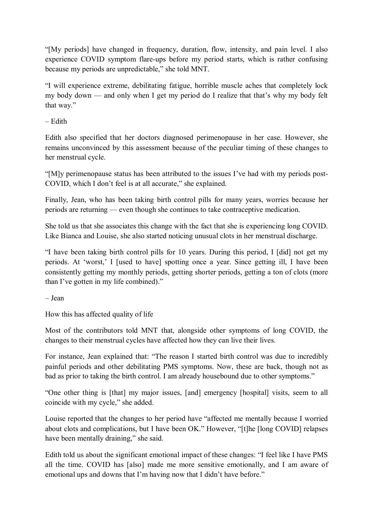"[My periods] have changed in frequency, duration, flow, intensity, and pain level. I also experience COVID symptom flare-ups before my period starts, which is rather confusing because my periods are unpredictable," she told MNT.

"I will experience extreme, debilitating fatigue, horrible muscle aches that completely lock my body down — and only when I get my period do I realize that that's why my body felt that way."

– Edith

Edith also specified that her doctors diagnosed perimenopause in her case. However, she remains unconvinced by this assessment because of the peculiar timing of these changes to her menstrual cycle.

"[M]y perimenopause status has been attributed to the issues I've had with my periods post-COVID, which I don't feel is at all accurate," she explained.

Finally, Jean, who has been taking birth control pills for many years, worries because her periods are returning — even though she continues to take contraceptive medication.

She told us that she associates this change with the fact that she is experiencing long COVID. Like Bianca and Louise, she also started noticing unusual clots in her menstrual discharge.

"I have been taking birth control pills for 10 years. During this period, I [did] not get my periods. At 'worst,' I [used to have] spotting once a year. Since getting ill, I have been consistently getting my monthly periods, getting shorter periods, getting a ton of clots (more than I've gotten in my life combined)."

– Jean

How this has affected quality of life

Most of the contributors told MNT that, alongside other symptoms of long COVID, the changes to their menstrual cycles have affected how they can live their lives.

For instance, Jean explained that: "The reason I started birth control was due to incredibly painful periods and other debilitating PMS symptoms. Now, these are back, though not as bad as prior to taking the birth control. I am already housebound due to other symptoms."

"One other thing is [that] my major issues, [and] emergency [hospital] visits, seem to all coincide with my cycle," she added.

Louise reported that the changes to her period have "affected me mentally because I worried about clots and complications, but I have been OK." However, "[t]he [long COVID] relapses have been mentally draining," she said.

Edith told us about the significant emotional impact of these changes: "I feel like I have PMS all the time. COVID has [also] made me more sensitive emotionally, and I am aware of emotional ups and downs that I'm having now that I didn't have before."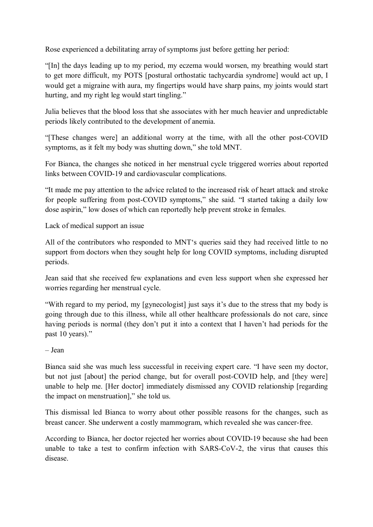Rose experienced a debilitating array of symptoms just before getting her period:

"[In] the days leading up to my period, my eczema would worsen, my breathing would start to get more difficult, my POTS [postural orthostatic tachycardia syndrome] would act up, I would get a migraine with aura, my fingertips would have sharp pains, my joints would start hurting, and my right leg would start tingling."

Julia believes that the blood loss that she associates with her much heavier and unpredictable periods likely contributed to the development of anemia.

"[These changes were] an additional worry at the time, with all the other post-COVID symptoms, as it felt my body was shutting down," she told MNT.

For Bianca, the changes she noticed in her menstrual cycle triggered worries about reported links between COVID-19 and cardiovascular complications.

"It made me pay attention to the advice related to the increased risk of heart attack and stroke for people suffering from post-COVID symptoms," she said. "I started taking a daily low dose aspirin," low doses of which can reportedly help prevent stroke in females.

Lack of medical support an issue

All of the contributors who responded to MNT's queries said they had received little to no support from doctors when they sought help for long COVID symptoms, including disrupted periods.

Jean said that she received few explanations and even less support when she expressed her worries regarding her menstrual cycle.

"With regard to my period, my [gynecologist] just says it's due to the stress that my body is going through due to this illness, while all other healthcare professionals do not care, since having periods is normal (they don't put it into a context that I haven't had periods for the past 10 years)."

– Jean

Bianca said she was much less successful in receiving expert care. "I have seen my doctor, but not just [about] the period change, but for overall post-COVID help, and [they were] unable to help me. [Her doctor] immediately dismissed any COVID relationship [regarding the impact on menstruation]," she told us.

This dismissal led Bianca to worry about other possible reasons for the changes, such as breast cancer. She underwent a costly mammogram, which revealed she was cancer-free.

According to Bianca, her doctor rejected her worries about COVID-19 because she had been unable to take a test to confirm infection with SARS-CoV-2, the virus that causes this disease.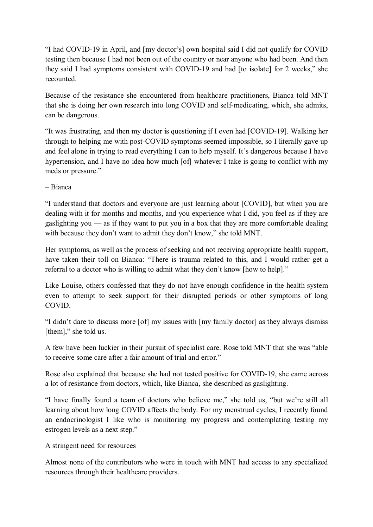"I had COVID-19 in April, and [my doctor's] own hospital said I did not qualify for COVID testing then because I had not been out of the country or near anyone who had been. And then they said I had symptoms consistent with COVID-19 and had [to isolate] for 2 weeks," she recounted.

Because of the resistance she encountered from healthcare practitioners, Bianca told MNT that she is doing her own research into long COVID and self-medicating, which, she admits, can be dangerous.

"It was frustrating, and then my doctor is questioning if I even had [COVID-19]. Walking her through to helping me with post-COVID symptoms seemed impossible, so I literally gave up and feel alone in trying to read everything I can to help myself. It's dangerous because I have hypertension, and I have no idea how much [of] whatever I take is going to conflict with my meds or pressure."

– Bianca

"I understand that doctors and everyone are just learning about [COVID], but when you are dealing with it for months and months, and you experience what I did, you feel as if they are gaslighting you — as if they want to put you in a box that they are more comfortable dealing with because they don't want to admit they don't know," she told MNT.

Her symptoms, as well as the process of seeking and not receiving appropriate health support, have taken their toll on Bianca: "There is trauma related to this, and I would rather get a referral to a doctor who is willing to admit what they don't know [how to help]."

Like Louise, others confessed that they do not have enough confidence in the health system even to attempt to seek support for their disrupted periods or other symptoms of long COVID.

"I didn't dare to discuss more [of] my issues with [my family doctor] as they always dismiss [them]," she told us.

A few have been luckier in their pursuit of specialist care. Rose told MNT that she was "able to receive some care after a fair amount of trial and error."

Rose also explained that because she had not tested positive for COVID-19, she came across a lot of resistance from doctors, which, like Bianca, she described as gaslighting.

"I have finally found a team of doctors who believe me," she told us, "but we're still all learning about how long COVID affects the body. For my menstrual cycles, I recently found an endocrinologist I like who is monitoring my progress and contemplating testing my estrogen levels as a next step."

A stringent need for resources

Almost none of the contributors who were in touch with MNT had access to any specialized resources through their healthcare providers.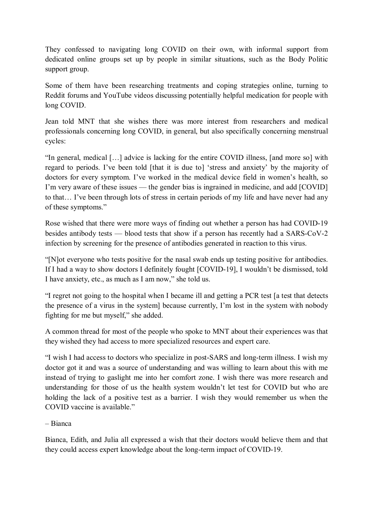They confessed to navigating long COVID on their own, with informal support from dedicated online groups set up by people in similar situations, such as the Body Politic support group.

Some of them have been researching treatments and coping strategies online, turning to Reddit forums and YouTube videos discussing potentially helpful medication for people with long COVID.

Jean told MNT that she wishes there was more interest from researchers and medical professionals concerning long COVID, in general, but also specifically concerning menstrual cycles:

"In general, medical […] advice is lacking for the entire COVID illness, [and more so] with regard to periods. I've been told [that it is due to] 'stress and anxiety' by the majority of doctors for every symptom. I've worked in the medical device field in women's health, so I'm very aware of these issues — the gender bias is ingrained in medicine, and add [COVID] to that… I've been through lots of stress in certain periods of my life and have never had any of these symptoms."

Rose wished that there were more ways of finding out whether a person has had COVID-19 besides antibody tests — blood tests that show if a person has recently had a SARS-CoV-2 infection by screening for the presence of antibodies generated in reaction to this virus.

"[N]ot everyone who tests positive for the nasal swab ends up testing positive for antibodies. If I had a way to show doctors I definitely fought [COVID-19], I wouldn't be dismissed, told I have anxiety, etc., as much as I am now," she told us.

"I regret not going to the hospital when I became ill and getting a PCR test [a test that detects the presence of a virus in the system] because currently, I'm lost in the system with nobody fighting for me but myself," she added.

A common thread for most of the people who spoke to MNT about their experiences was that they wished they had access to more specialized resources and expert care.

"I wish I had access to doctors who specialize in post-SARS and long-term illness. I wish my doctor got it and was a source of understanding and was willing to learn about this with me instead of trying to gaslight me into her comfort zone. I wish there was more research and understanding for those of us the health system wouldn't let test for COVID but who are holding the lack of a positive test as a barrier. I wish they would remember us when the COVID vaccine is available."

– Bianca

Bianca, Edith, and Julia all expressed a wish that their doctors would believe them and that they could access expert knowledge about the long-term impact of COVID-19.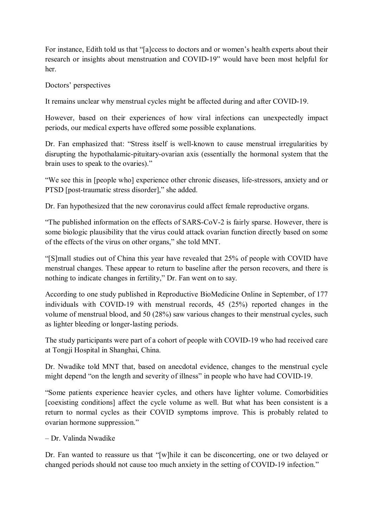For instance, Edith told us that "[a]ccess to doctors and or women's health experts about their research or insights about menstruation and COVID-19" would have been most helpful for her.

Doctors' perspectives

It remains unclear why menstrual cycles might be affected during and after COVID-19.

However, based on their experiences of how viral infections can unexpectedly impact periods, our medical experts have offered some possible explanations.

Dr. Fan emphasized that: "Stress itself is well-known to cause menstrual irregularities by disrupting the hypothalamic-pituitary-ovarian axis (essentially the hormonal system that the brain uses to speak to the ovaries)."

"We see this in [people who] experience other chronic diseases, life-stressors, anxiety and or PTSD [post-traumatic stress disorder]," she added.

Dr. Fan hypothesized that the new coronavirus could affect female reproductive organs.

"The published information on the effects of SARS-CoV-2 is fairly sparse. However, there is some biologic plausibility that the virus could attack ovarian function directly based on some of the effects of the virus on other organs," she told MNT.

"[S]mall studies out of China this year have revealed that 25% of people with COVID have menstrual changes. These appear to return to baseline after the person recovers, and there is nothing to indicate changes in fertility," Dr. Fan went on to say.

According to one study published in Reproductive BioMedicine Online in September, of 177 individuals with COVID-19 with menstrual records, 45 (25%) reported changes in the volume of menstrual blood, and 50 (28%) saw various changes to their menstrual cycles, such as lighter bleeding or longer-lasting periods.

The study participants were part of a cohort of people with COVID-19 who had received care at Tongji Hospital in Shanghai, China.

Dr. Nwadike told MNT that, based on anecdotal evidence, changes to the menstrual cycle might depend "on the length and severity of illness" in people who have had COVID-19.

"Some patients experience heavier cycles, and others have lighter volume. Comorbidities [coexisting conditions] affect the cycle volume as well. But what has been consistent is a return to normal cycles as their COVID symptoms improve. This is probably related to ovarian hormone suppression."

– Dr. Valinda Nwadike

Dr. Fan wanted to reassure us that "[w]hile it can be disconcerting, one or two delayed or changed periods should not cause too much anxiety in the setting of COVID-19 infection."